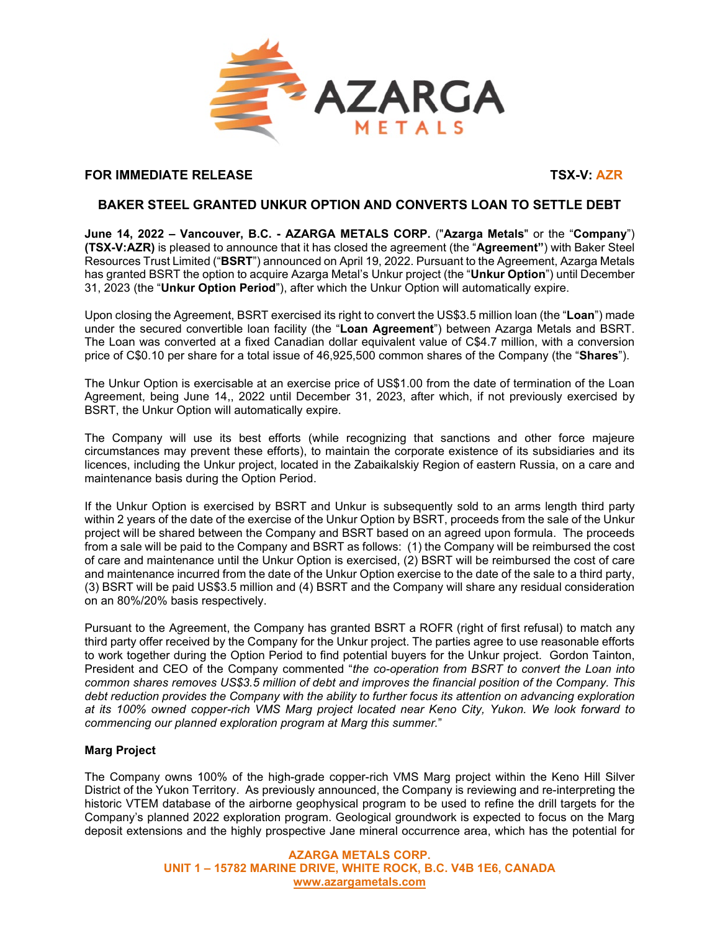

# **FOR IMMEDIATE RELEASE** THE STATE OF THE STATE OF THE STATE OF THE STATE OF THE STATE OF THE STATE OF THE STATE OF THE STATE OF THE STATE OF THE STATE OF THE STATE OF THE STATE OF THE STATE OF THE STATE OF THE STATE OF THE

# **BAKER STEEL GRANTED UNKUR OPTION AND CONVERTS LOAN TO SETTLE DEBT**

**June 14, 2022 – Vancouver, B.C. - AZARGA METALS CORP.** ("**Azarga Metals**" or the "**Company**") **(TSX-V:AZR)** is pleased to announce that it has closed the agreement (the "**Agreement"**) with Baker Steel Resources Trust Limited ("**BSRT**") announced on April 19, 2022. Pursuant to the Agreement, Azarga Metals has granted BSRT the option to acquire Azarga Metal's Unkur project (the "**Unkur Option**") until December 31, 2023 (the "**Unkur Option Period**"), after which the Unkur Option will automatically expire.

Upon closing the Agreement, BSRT exercised its right to convert the US\$3.5 million loan (the "**Loan**") made under the secured convertible loan facility (the "**Loan Agreement**") between Azarga Metals and BSRT. The Loan was converted at a fixed Canadian dollar equivalent value of C\$4.7 million, with a conversion price of C\$0.10 per share for a total issue of 46,925,500 common shares of the Company (the "**Shares**").

The Unkur Option is exercisable at an exercise price of US\$1.00 from the date of termination of the Loan Agreement, being June 14,, 2022 until December 31, 2023, after which, if not previously exercised by BSRT, the Unkur Option will automatically expire.

The Company will use its best efforts (while recognizing that sanctions and other force majeure circumstances may prevent these efforts), to maintain the corporate existence of its subsidiaries and its licences, including the Unkur project, located in the Zabaikalskiy Region of eastern Russia, on a care and maintenance basis during the Option Period.

If the Unkur Option is exercised by BSRT and Unkur is subsequently sold to an arms length third party within 2 years of the date of the exercise of the Unkur Option by BSRT, proceeds from the sale of the Unkur project will be shared between the Company and BSRT based on an agreed upon formula. The proceeds from a sale will be paid to the Company and BSRT as follows: (1) the Company will be reimbursed the cost of care and maintenance until the Unkur Option is exercised, (2) BSRT will be reimbursed the cost of care and maintenance incurred from the date of the Unkur Option exercise to the date of the sale to a third party, (3) BSRT will be paid US\$3.5 million and (4) BSRT and the Company will share any residual consideration on an 80%/20% basis respectively.

Pursuant to the Agreement, the Company has granted BSRT a ROFR (right of first refusal) to match any third party offer received by the Company for the Unkur project. The parties agree to use reasonable efforts to work together during the Option Period to find potential buyers for the Unkur project. Gordon Tainton, President and CEO of the Company commented "*the co-operation from BSRT to convert the Loan into common shares removes US\$3.5 million of debt and improves the financial position of the Company. This debt reduction provides the Company with the ability to further focus its attention on advancing exploration at its 100% owned copper-rich VMS Marg project located near Keno City, Yukon. We look forward to commencing our planned exploration program at Marg this summer.*"

## **Marg Project**

The Company owns 100% of the high-grade copper-rich VMS Marg project within the Keno Hill Silver District of the Yukon Territory. As previously announced, the Company is reviewing and re-interpreting the historic VTEM database of the airborne geophysical program to be used to refine the drill targets for the Company's planned 2022 exploration program. Geological groundwork is expected to focus on the Marg deposit extensions and the highly prospective Jane mineral occurrence area, which has the potential for

> **AZARGA METALS CORP. UNIT 1 – 15782 MARINE DRIVE, WHITE ROCK, B.C. V4B 1E6, CANADA www.azargametals.com**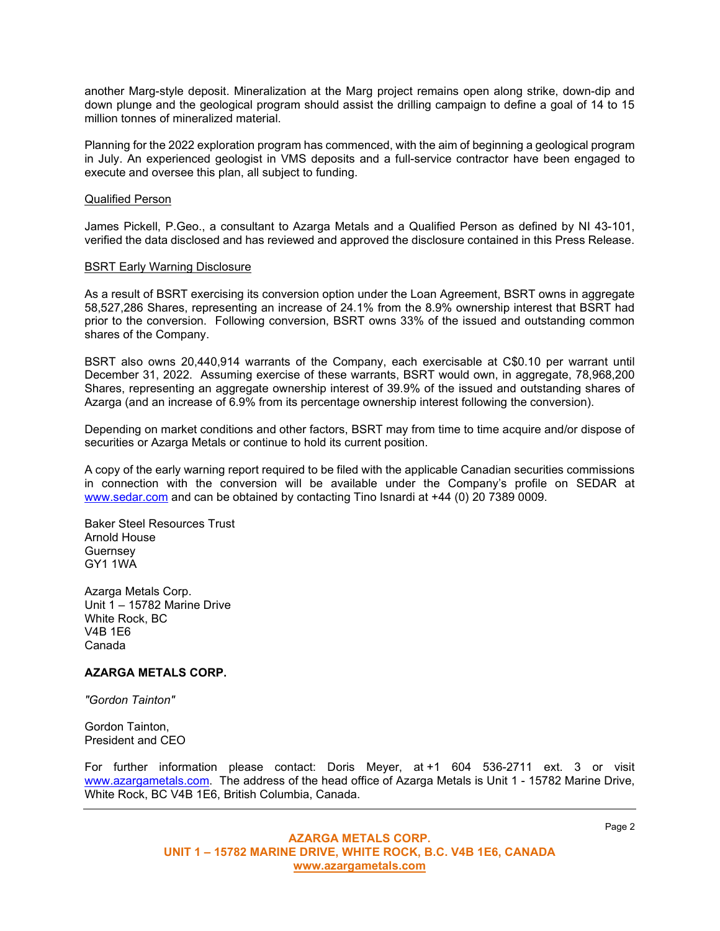another Marg-style deposit. Mineralization at the Marg project remains open along strike, down-dip and down plunge and the geological program should assist the drilling campaign to define a goal of 14 to 15 million tonnes of mineralized material.

Planning for the 2022 exploration program has commenced, with the aim of beginning a geological program in July. An experienced geologist in VMS deposits and a full-service contractor have been engaged to execute and oversee this plan, all subject to funding.

#### Qualified Person

James Pickell, P.Geo., a consultant to Azarga Metals and a Qualified Person as defined by NI 43-101, verified the data disclosed and has reviewed and approved the disclosure contained in this Press Release.

#### BSRT Early Warning Disclosure

As a result of BSRT exercising its conversion option under the Loan Agreement, BSRT owns in aggregate 58,527,286 Shares, representing an increase of 24.1% from the 8.9% ownership interest that BSRT had prior to the conversion. Following conversion, BSRT owns 33% of the issued and outstanding common shares of the Company.

BSRT also owns 20,440,914 warrants of the Company, each exercisable at C\$0.10 per warrant until December 31, 2022. Assuming exercise of these warrants, BSRT would own, in aggregate, 78,968,200 Shares, representing an aggregate ownership interest of 39.9% of the issued and outstanding shares of Azarga (and an increase of 6.9% from its percentage ownership interest following the conversion).

Depending on market conditions and other factors, BSRT may from time to time acquire and/or dispose of securities or Azarga Metals or continue to hold its current position.

A copy of the early warning report required to be filed with the applicable Canadian securities commissions in connection with the conversion will be available under the Company's profile on SEDAR at [www.sedar.com](http://www.sedar.com/) and can be obtained by contacting Tino Isnardi at +44 (0) 20 7389 0009.

Baker Steel Resources Trust Arnold House Guernsey GY1 1WA

Azarga Metals Corp. Unit 1 – 15782 Marine Drive White Rock, BC V4B 1E6 Canada

### **AZARGA METALS CORP.**

*"Gordon Tainton"*

Gordon Tainton, President and CEO

For further information please contact: Doris Meyer, at +1 604 536-2711 ext. 3 or visit www.azargametals.com. The address of the head office of Azarga Metals is Unit 1 - 15782 Marine Drive, White Rock, BC V4B 1E6, British Columbia, Canada.